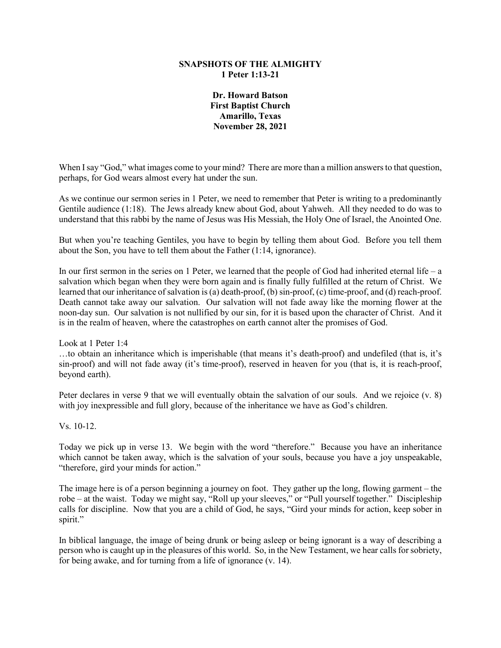### **SNAPSHOTS OF THE ALMIGHTY 1 Peter 1:13-21**

**Dr. Howard Batson First Baptist Church Amarillo, Texas November 28, 2021**

When I say "God," what images come to your mind? There are more than a million answers to that question, perhaps, for God wears almost every hat under the sun.

As we continue our sermon series in 1 Peter, we need to remember that Peter is writing to a predominantly Gentile audience (1:18). The Jews already knew about God, about Yahweh. All they needed to do was to understand that this rabbi by the name of Jesus was His Messiah, the Holy One of Israel, the Anointed One.

But when you're teaching Gentiles, you have to begin by telling them about God. Before you tell them about the Son, you have to tell them about the Father (1:14, ignorance).

In our first sermon in the series on 1 Peter, we learned that the people of God had inherited eternal life – a salvation which began when they were born again and is finally fully fulfilled at the return of Christ. We learned that our inheritance of salvation is (a) death-proof, (b) sin-proof, (c) time-proof, and (d) reach-proof. Death cannot take away our salvation. Our salvation will not fade away like the morning flower at the noon-day sun. Our salvation is not nullified by our sin, for it is based upon the character of Christ. And it is in the realm of heaven, where the catastrophes on earth cannot alter the promises of God.

Look at 1 Peter 1:4

…to obtain an inheritance which is imperishable (that means it's death-proof) and undefiled (that is, it's sin-proof) and will not fade away (it's time-proof), reserved in heaven for you (that is, it is reach-proof, beyond earth).

Peter declares in verse 9 that we will eventually obtain the salvation of our souls. And we rejoice (v. 8) with joy inexpressible and full glory, because of the inheritance we have as God's children.

Vs. 10-12.

Today we pick up in verse 13. We begin with the word "therefore." Because you have an inheritance which cannot be taken away, which is the salvation of your souls, because you have a joy unspeakable, "therefore, gird your minds for action."

The image here is of a person beginning a journey on foot. They gather up the long, flowing garment – the robe – at the waist. Today we might say, "Roll up your sleeves," or "Pull yourself together." Discipleship calls for discipline. Now that you are a child of God, he says, "Gird your minds for action, keep sober in spirit."

In biblical language, the image of being drunk or being asleep or being ignorant is a way of describing a person who is caught up in the pleasures of this world. So, in the New Testament, we hear calls for sobriety, for being awake, and for turning from a life of ignorance (v. 14).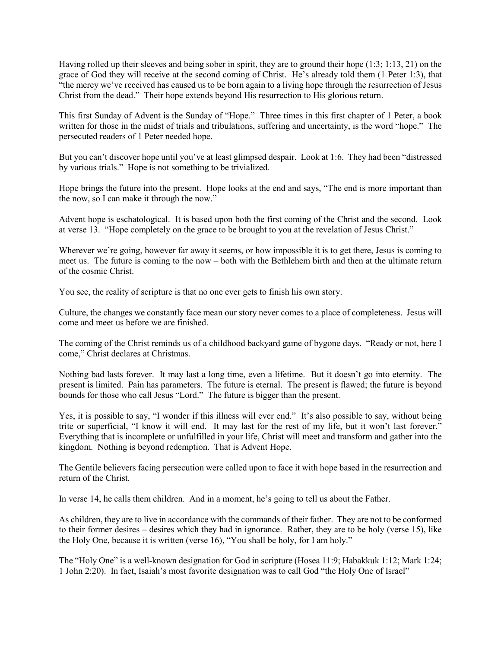Having rolled up their sleeves and being sober in spirit, they are to ground their hope (1:3; 1:13, 21) on the grace of God they will receive at the second coming of Christ. He's already told them (1 Peter 1:3), that "the mercy we've received has caused us to be born again to a living hope through the resurrection of Jesus Christ from the dead." Their hope extends beyond His resurrection to His glorious return.

This first Sunday of Advent is the Sunday of "Hope." Three times in this first chapter of 1 Peter, a book written for those in the midst of trials and tribulations, suffering and uncertainty, is the word "hope." The persecuted readers of 1 Peter needed hope.

But you can't discover hope until you've at least glimpsed despair. Look at 1:6. They had been "distressed by various trials." Hope is not something to be trivialized.

Hope brings the future into the present. Hope looks at the end and says, "The end is more important than the now, so I can make it through the now."

Advent hope is eschatological. It is based upon both the first coming of the Christ and the second. Look at verse 13. "Hope completely on the grace to be brought to you at the revelation of Jesus Christ."

Wherever we're going, however far away it seems, or how impossible it is to get there, Jesus is coming to meet us. The future is coming to the now – both with the Bethlehem birth and then at the ultimate return of the cosmic Christ.

You see, the reality of scripture is that no one ever gets to finish his own story.

Culture, the changes we constantly face mean our story never comes to a place of completeness. Jesus will come and meet us before we are finished.

The coming of the Christ reminds us of a childhood backyard game of bygone days. "Ready or not, here I come," Christ declares at Christmas.

Nothing bad lasts forever. It may last a long time, even a lifetime. But it doesn't go into eternity. The present is limited. Pain has parameters. The future is eternal. The present is flawed; the future is beyond bounds for those who call Jesus "Lord." The future is bigger than the present.

Yes, it is possible to say, "I wonder if this illness will ever end." It's also possible to say, without being trite or superficial, "I know it will end. It may last for the rest of my life, but it won't last forever." Everything that is incomplete or unfulfilled in your life, Christ will meet and transform and gather into the kingdom. Nothing is beyond redemption. That is Advent Hope.

The Gentile believers facing persecution were called upon to face it with hope based in the resurrection and return of the Christ.

In verse 14, he calls them children. And in a moment, he's going to tell us about the Father.

As children, they are to live in accordance with the commands of their father. They are not to be conformed to their former desires – desires which they had in ignorance. Rather, they are to be holy (verse 15), like the Holy One, because it is written (verse 16), "You shall be holy, for I am holy."

The "Holy One" is a well-known designation for God in scripture (Hosea 11:9; Habakkuk 1:12; Mark 1:24; 1 John 2:20). In fact, Isaiah's most favorite designation was to call God "the Holy One of Israel"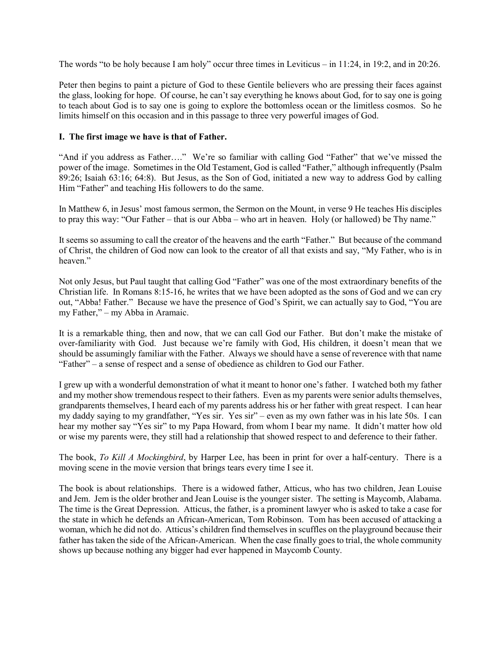The words "to be holy because I am holy" occur three times in Leviticus – in 11:24, in 19:2, and in 20:26.

Peter then begins to paint a picture of God to these Gentile believers who are pressing their faces against the glass, looking for hope. Of course, he can't say everything he knows about God, for to say one is going to teach about God is to say one is going to explore the bottomless ocean or the limitless cosmos. So he limits himself on this occasion and in this passage to three very powerful images of God.

## **I. The first image we have is that of Father.**

"And if you address as Father…." We're so familiar with calling God "Father" that we've missed the power of the image. Sometimes in the Old Testament, God is called "Father," although infrequently (Psalm 89:26; Isaiah 63:16; 64:8). But Jesus, as the Son of God, initiated a new way to address God by calling Him "Father" and teaching His followers to do the same.

In Matthew 6, in Jesus' most famous sermon, the Sermon on the Mount, in verse 9 He teaches His disciples to pray this way: "Our Father – that is our Abba – who art in heaven. Holy (or hallowed) be Thy name."

It seems so assuming to call the creator of the heavens and the earth "Father." But because of the command of Christ, the children of God now can look to the creator of all that exists and say, "My Father, who is in heaven."

Not only Jesus, but Paul taught that calling God "Father" was one of the most extraordinary benefits of the Christian life. In Romans 8:15-16, he writes that we have been adopted as the sons of God and we can cry out, "Abba! Father." Because we have the presence of God's Spirit, we can actually say to God, "You are my Father," – my Abba in Aramaic.

It is a remarkable thing, then and now, that we can call God our Father. But don't make the mistake of over-familiarity with God. Just because we're family with God, His children, it doesn't mean that we should be assumingly familiar with the Father. Always we should have a sense of reverence with that name "Father" – a sense of respect and a sense of obedience as children to God our Father.

I grew up with a wonderful demonstration of what it meant to honor one's father. I watched both my father and my mother show tremendous respect to their fathers. Even as my parents were senior adults themselves, grandparents themselves, I heard each of my parents address his or her father with great respect. I can hear my daddy saying to my grandfather, "Yes sir. Yes sir" – even as my own father was in his late 50s. I can hear my mother say "Yes sir" to my Papa Howard, from whom I bear my name. It didn't matter how old or wise my parents were, they still had a relationship that showed respect to and deference to their father.

The book, *To Kill A Mockingbird*, by Harper Lee, has been in print for over a half-century. There is a moving scene in the movie version that brings tears every time I see it.

The book is about relationships. There is a widowed father, Atticus, who has two children, Jean Louise and Jem. Jem is the older brother and Jean Louise is the younger sister. The setting is Maycomb, Alabama. The time is the Great Depression. Atticus, the father, is a prominent lawyer who is asked to take a case for the state in which he defends an African-American, Tom Robinson. Tom has been accused of attacking a woman, which he did not do. Atticus's children find themselves in scuffles on the playground because their father has taken the side of the African-American. When the case finally goes to trial, the whole community shows up because nothing any bigger had ever happened in Maycomb County.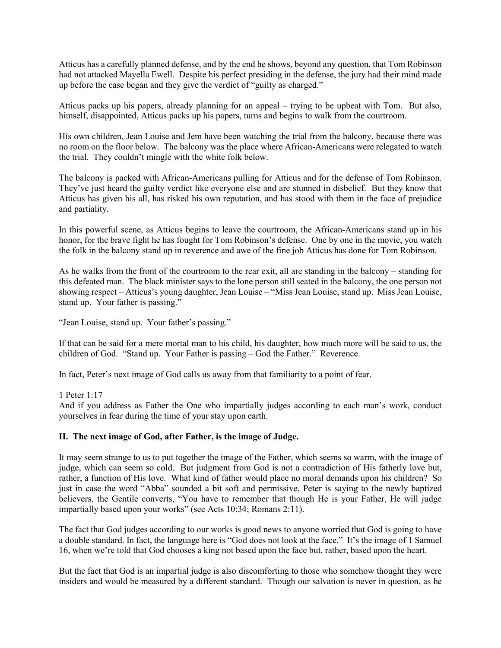Atticus has a carefully planned defense, and by the end he shows, beyond any question, that Tom Robinson had not attacked Mayella Ewell. Despite his perfect presiding in the defense, the jury had their mind made up before the case began and they give the verdict of "guilty as charged."

Atticus packs up his papers, already planning for an appeal – trying to be upbeat with Tom. But also, himself, disappointed, Atticus packs up his papers, turns and begins to walk from the courtroom.

His own children, Jean Louise and Jem have been watching the trial from the balcony, because there was no room on the floor below. The balcony was the place where African-Americans were relegated to watch the trial. They couldn't mingle with the white folk below.

The balcony is packed with African-Americans pulling for Atticus and for the defense of Tom Robinson. They've just heard the guilty verdict like everyone else and are stunned in disbelief. But they know that Atticus has given his all, has risked his own reputation, and has stood with them in the face of prejudice and partiality.

In this powerful scene, as Atticus begins to leave the courtroom, the African-Americans stand up in his honor, for the brave fight he has fought for Tom Robinson's defense. One by one in the movie, you watch the folk in the balcony stand up in reverence and awe of the fine job Atticus has done for Tom Robinson.

As he walks from the front of the courtroom to the rear exit, all are standing in the balcony – standing for this defeated man. The black minister says to the lone person still seated in the balcony, the one person not showing respect – Atticus's young daughter, Jean Louise – "Miss Jean Louise, stand up. Miss Jean Louise, stand up. Your father is passing."

"Jean Louise, stand up. Your father's passing."

If that can be said for a mere mortal man to his child, his daughter, how much more will be said to us, the children of God. "Stand up. Your Father is passing – God the Father." Reverence.

In fact, Peter's next image of God calls us away from that familiarity to a point of fear.

1 Peter 1:17

And if you address as Father the One who impartially judges according to each man's work, conduct yourselves in fear during the time of your stay upon earth.

## **II. The next image of God, after Father, is the image of Judge.**

It may seem strange to us to put together the image of the Father, which seems so warm, with the image of judge, which can seem so cold. But judgment from God is not a contradiction of His fatherly love but, rather, a function of His love. What kind of father would place no moral demands upon his children? So just in case the word "Abba" sounded a bit soft and permissive, Peter is saying to the newly baptized believers, the Gentile converts, "You have to remember that though He is your Father, He will judge impartially based upon your works" (see Acts 10:34; Romans 2:11).

The fact that God judges according to our works is good news to anyone worried that God is going to have a double standard. In fact, the language here is "God does not look at the face." It's the image of 1 Samuel 16, when we're told that God chooses a king not based upon the face but, rather, based upon the heart.

But the fact that God is an impartial judge is also discomforting to those who somehow thought they were insiders and would be measured by a different standard. Though our salvation is never in question, as he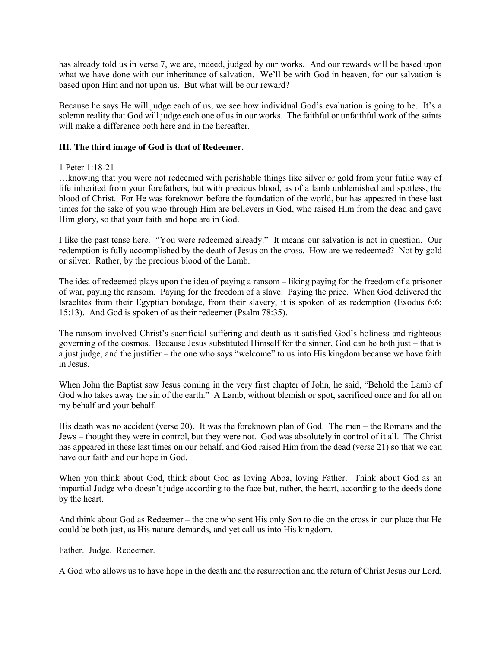has already told us in verse 7, we are, indeed, judged by our works. And our rewards will be based upon what we have done with our inheritance of salvation. We'll be with God in heaven, for our salvation is based upon Him and not upon us. But what will be our reward?

Because he says He will judge each of us, we see how individual God's evaluation is going to be. It's a solemn reality that God will judge each one of us in our works. The faithful or unfaithful work of the saints will make a difference both here and in the hereafter.

# **III. The third image of God is that of Redeemer.**

## 1 Peter 1:18-21

…knowing that you were not redeemed with perishable things like silver or gold from your futile way of life inherited from your forefathers, but with precious blood, as of a lamb unblemished and spotless, the blood of Christ. For He was foreknown before the foundation of the world, but has appeared in these last times for the sake of you who through Him are believers in God, who raised Him from the dead and gave Him glory, so that your faith and hope are in God.

I like the past tense here. "You were redeemed already." It means our salvation is not in question. Our redemption is fully accomplished by the death of Jesus on the cross. How are we redeemed? Not by gold or silver. Rather, by the precious blood of the Lamb.

The idea of redeemed plays upon the idea of paying a ransom – liking paying for the freedom of a prisoner of war, paying the ransom. Paying for the freedom of a slave. Paying the price. When God delivered the Israelites from their Egyptian bondage, from their slavery, it is spoken of as redemption (Exodus 6:6; 15:13). And God is spoken of as their redeemer (Psalm 78:35).

The ransom involved Christ's sacrificial suffering and death as it satisfied God's holiness and righteous governing of the cosmos. Because Jesus substituted Himself for the sinner, God can be both just – that is a just judge, and the justifier – the one who says "welcome" to us into His kingdom because we have faith in Jesus.

When John the Baptist saw Jesus coming in the very first chapter of John, he said, "Behold the Lamb of God who takes away the sin of the earth." A Lamb, without blemish or spot, sacrificed once and for all on my behalf and your behalf.

His death was no accident (verse 20). It was the foreknown plan of God. The men – the Romans and the Jews – thought they were in control, but they were not. God was absolutely in control of it all. The Christ has appeared in these last times on our behalf, and God raised Him from the dead (verse 21) so that we can have our faith and our hope in God.

When you think about God, think about God as loving Abba, loving Father. Think about God as an impartial Judge who doesn't judge according to the face but, rather, the heart, according to the deeds done by the heart.

And think about God as Redeemer – the one who sent His only Son to die on the cross in our place that He could be both just, as His nature demands, and yet call us into His kingdom.

Father. Judge. Redeemer.

A God who allows us to have hope in the death and the resurrection and the return of Christ Jesus our Lord.